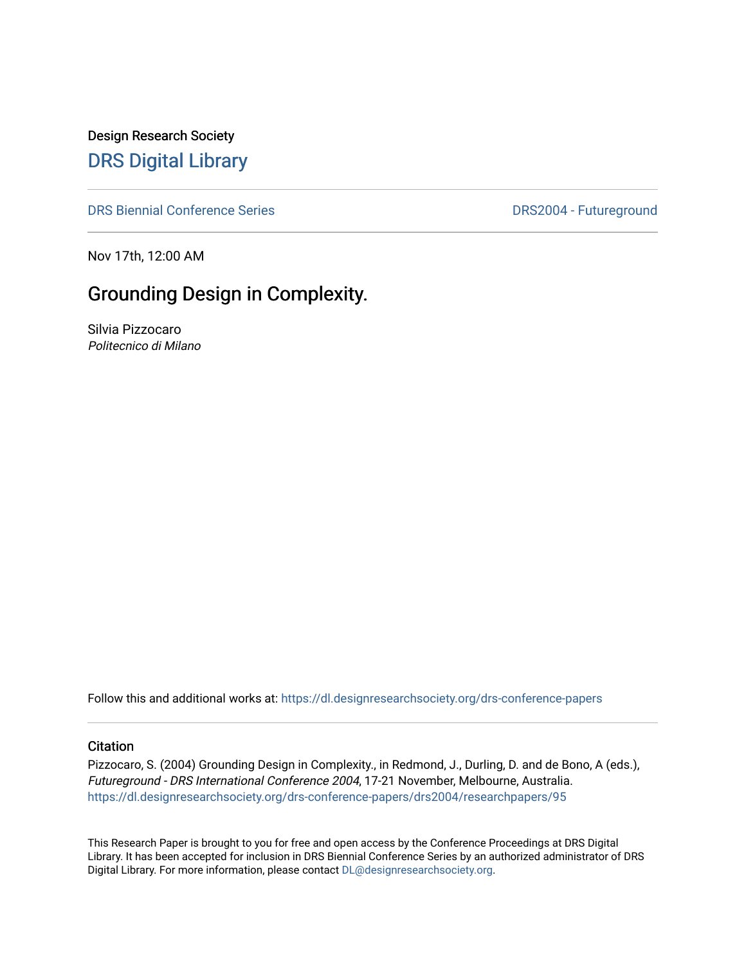Design Research Society [DRS Digital Library](https://dl.designresearchsociety.org/)

[DRS Biennial Conference Series](https://dl.designresearchsociety.org/drs-conference-papers) **DRS2004** - Futureground

Nov 17th, 12:00 AM

# Grounding Design in Complexity.

Silvia Pizzocaro Politecnico di Milano

Follow this and additional works at: [https://dl.designresearchsociety.org/drs-conference-papers](https://dl.designresearchsociety.org/drs-conference-papers?utm_source=dl.designresearchsociety.org%2Fdrs-conference-papers%2Fdrs2004%2Fresearchpapers%2F95&utm_medium=PDF&utm_campaign=PDFCoverPages) 

#### **Citation**

Pizzocaro, S. (2004) Grounding Design in Complexity., in Redmond, J., Durling, D. and de Bono, A (eds.), Futureground - DRS International Conference 2004, 17-21 November, Melbourne, Australia. [https://dl.designresearchsociety.org/drs-conference-papers/drs2004/researchpapers/95](https://dl.designresearchsociety.org/drs-conference-papers/drs2004/researchpapers/95?utm_source=dl.designresearchsociety.org%2Fdrs-conference-papers%2Fdrs2004%2Fresearchpapers%2F95&utm_medium=PDF&utm_campaign=PDFCoverPages)

This Research Paper is brought to you for free and open access by the Conference Proceedings at DRS Digital Library. It has been accepted for inclusion in DRS Biennial Conference Series by an authorized administrator of DRS Digital Library. For more information, please contact [DL@designresearchsociety.org.](mailto:DL@designresearchsociety.org)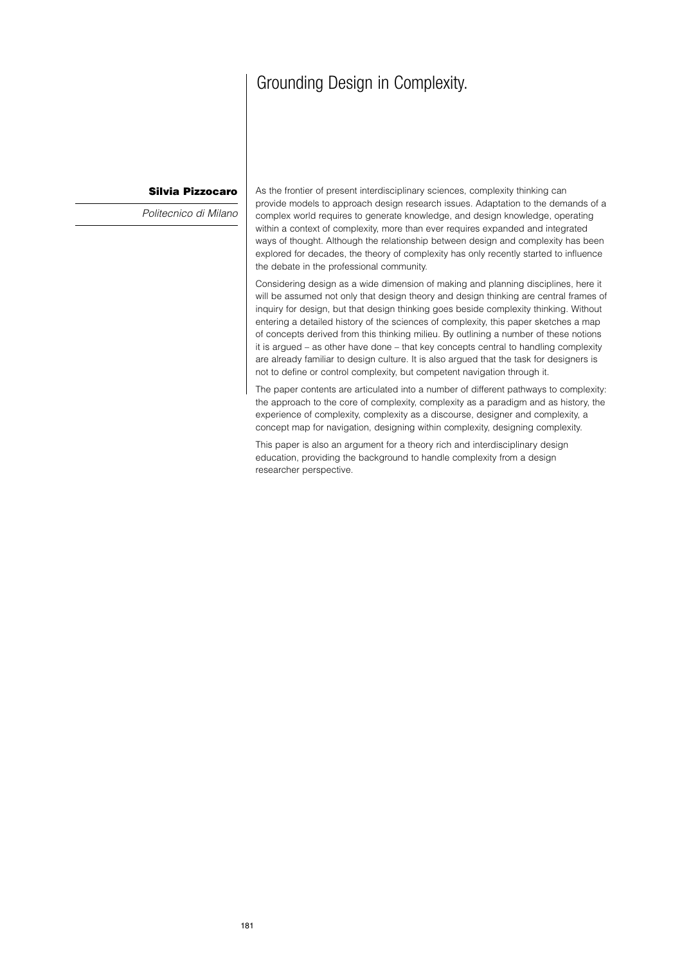# Grounding Design in Complexity.

#### **Silvia Pizzocaro**

Politecnico di Milano

As the frontier of present interdisciplinary sciences, complexity thinking can provide models to approach design research issues. Adaptation to the demands of a complex world requires to generate knowledge, and design knowledge, operating within a context of complexity, more than ever requires expanded and integrated ways of thought. Although the relationship between design and complexity has been explored for decades, the theory of complexity has only recently started to influence the debate in the professional community.

Considering design as a wide dimension of making and planning disciplines, here it will be assumed not only that design theory and design thinking are central frames of inquiry for design, but that design thinking goes beside complexity thinking. Without entering a detailed history of the sciences of complexity, this paper sketches a map of concepts derived from this thinking milieu. By outlining a number of these notions it is argued – as other have done – that key concepts central to handling complexity are already familiar to design culture. It is also argued that the task for designers is not to define or control complexity, but competent navigation through it.

The paper contents are articulated into a number of different pathways to complexity: the approach to the core of complexity, complexity as a paradigm and as history, the experience of complexity, complexity as a discourse, designer and complexity, a concept map for navigation, designing within complexity, designing complexity.

This paper is also an argument for a theory rich and interdisciplinary design education, providing the background to handle complexity from a design researcher perspective.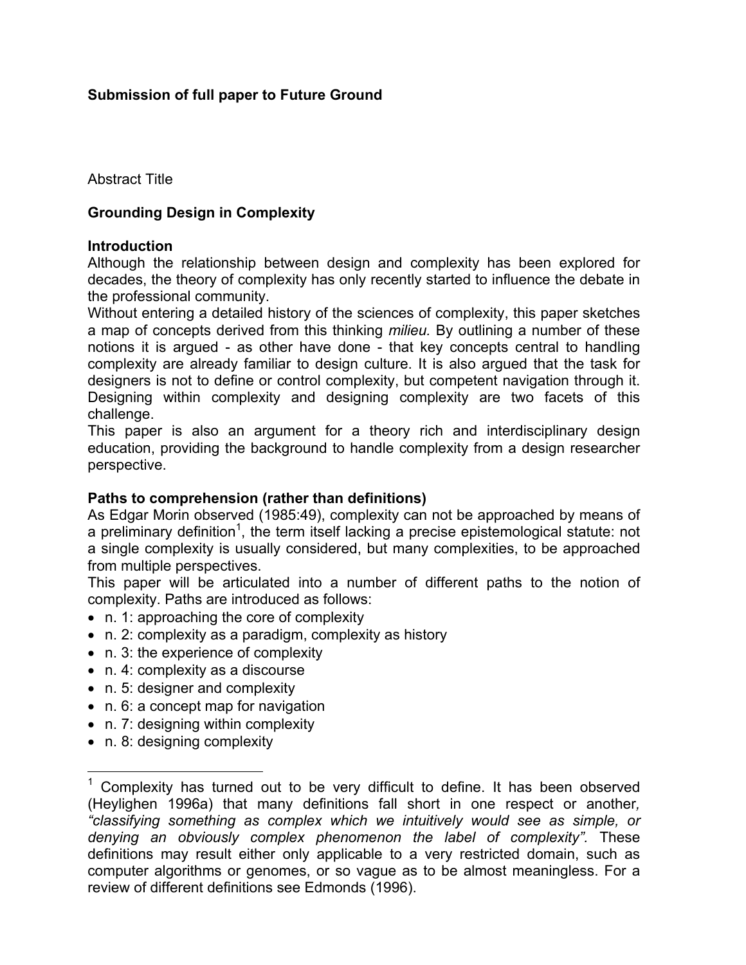# **Submission of full paper to Future Ground**

Abstract Title

## **Grounding Design in Complexity**

#### **Introduction**

Although the relationship between design and complexity has been explored for decades, the theory of complexity has only recently started to influence the debate in the professional community.

Without entering a detailed history of the sciences of complexity, this paper sketches a map of concepts derived from this thinking *milieu.* By outlining a number of these notions it is argued - as other have done - that key concepts central to handling complexity are already familiar to design culture. It is also argued that the task for designers is not to define or control complexity, but competent navigation through it. Designing within complexity and designing complexity are two facets of this challenge.

This paper is also an argument for a theory rich and interdisciplinary design education, providing the background to handle complexity from a design researcher perspective.

#### **Paths to comprehension (rather than definitions)**

As Edgar Morin observed (1985:49), complexity can not be approached by means of a preliminary definition<sup>1</sup>, the term itself lacking a precise epistemological statute: not a single complexity is usually considered, but many complexities, to be approached from multiple perspectives.

This paper will be articulated into a number of different paths to the notion of complexity. Paths are introduced as follows:

- n. 1: approaching the core of complexity
- n. 2: complexity as a paradigm, complexity as history
- n. 3: the experience of complexity
- n. 4: complexity as a discourse
- n. 5: designer and complexity
- n. 6: a concept map for navigation
- n. 7: designing within complexity
- n. 8: designing complexity

 $\overline{a}$ 

<sup>1</sup> Complexity has turned out to be very difficult to define. It has been observed (Heylighen 1996a) that many definitions fall short in one respect or another*, "classifying something as complex which we intuitively would see as simple, or denying an obviously complex phenomenon the label of complexity".* These definitions may result either only applicable to a very restricted domain, such as computer algorithms or genomes, or so vague as to be almost meaningless. For a review of different definitions see Edmonds (1996).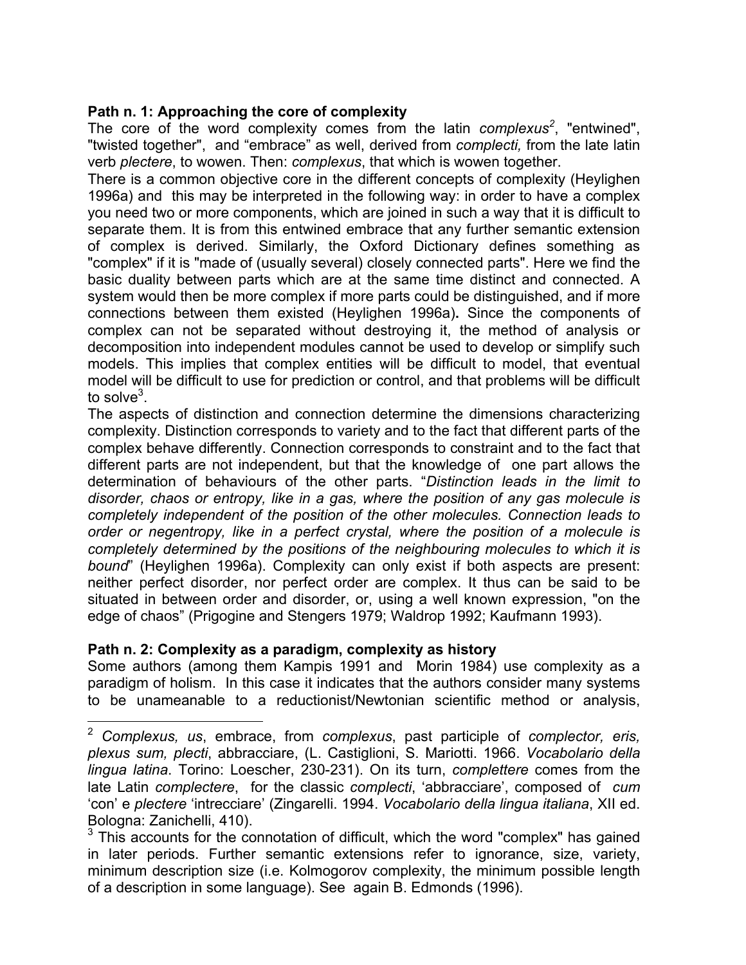#### **Path n. 1: Approaching the core of complexity**

The core of the word complexity comes from the latin *complexus<sup>2</sup>* , "entwined", "twisted together", and "embrace" as well, derived from *complecti,* from the late latin verb *plectere*, to wowen. Then: *complexus*, that which is wowen together.

There is a common objective core in the different concepts of complexity (Heylighen 1996a) and this may be interpreted in the following way: in order to have a complex you need two or more components, which are joined in such a way that it is difficult to separate them. It is from this entwined embrace that any further semantic extension of complex is derived. Similarly, the Oxford Dictionary defines something as "complex" if it is "made of (usually several) closely connected parts". Here we find the basic duality between parts which are at the same time distinct and connected. A system would then be more complex if more parts could be distinguished, and if more connections between them existed (Heylighen 1996a)**.** Since the components of complex can not be separated without destroying it, the method of analysis or decomposition into independent modules cannot be used to develop or simplify such models. This implies that complex entities will be difficult to model, that eventual model will be difficult to use for prediction or control, and that problems will be difficult to solve $^3$ .

The aspects of distinction and connection determine the dimensions characterizing complexity. Distinction corresponds to variety and to the fact that different parts of the complex behave differently. Connection corresponds to constraint and to the fact that different parts are not independent, but that the knowledge of one part allows the determination of behaviours of the other parts. "*Distinction leads in the limit to disorder, chaos or entropy, like in a gas, where the position of any gas molecule is completely independent of the position of the other molecules. Connection leads to order or negentropy, like in a perfect crystal, where the position of a molecule is completely determined by the positions of the neighbouring molecules to which it is bound*" (Heylighen 1996a). Complexity can only exist if both aspects are present: neither perfect disorder, nor perfect order are complex. It thus can be said to be situated in between order and disorder, or, using a well known expression, "on the edge of chaos" (Prigogine and Stengers 1979; Waldrop 1992; Kaufmann 1993).

#### **Path n. 2: Complexity as a paradigm, complexity as history**

1

Some authors (among them Kampis 1991 and Morin 1984) use complexity as a paradigm of holism. In this case it indicates that the authors consider many systems to be unameanable to a reductionist/Newtonian scientific method or analysis,

<sup>2</sup> *Complexus, us*, embrace, from *complexus*, past participle of *complector, eris, plexus sum, plecti*, abbracciare, (L. Castiglioni, S. Mariotti. 1966. *Vocabolario della lingua latina*. Torino: Loescher, 230-231). On its turn, *complettere* comes from the late Latin *complectere*, for the classic *complecti*, 'abbracciare', composed of *cum* 'con' e *plectere* 'intrecciare' (Zingarelli. 1994. *Vocabolario della lingua italiana*, XII ed. Bologna: Zanichelli, 410).

 $3$  This accounts for the connotation of difficult, which the word "complex" has gained in later periods. Further semantic extensions refer to ignorance, size, variety, minimum description size (i.e. Kolmogorov complexity, the minimum possible length of a description in some language). See again B. Edmonds (1996).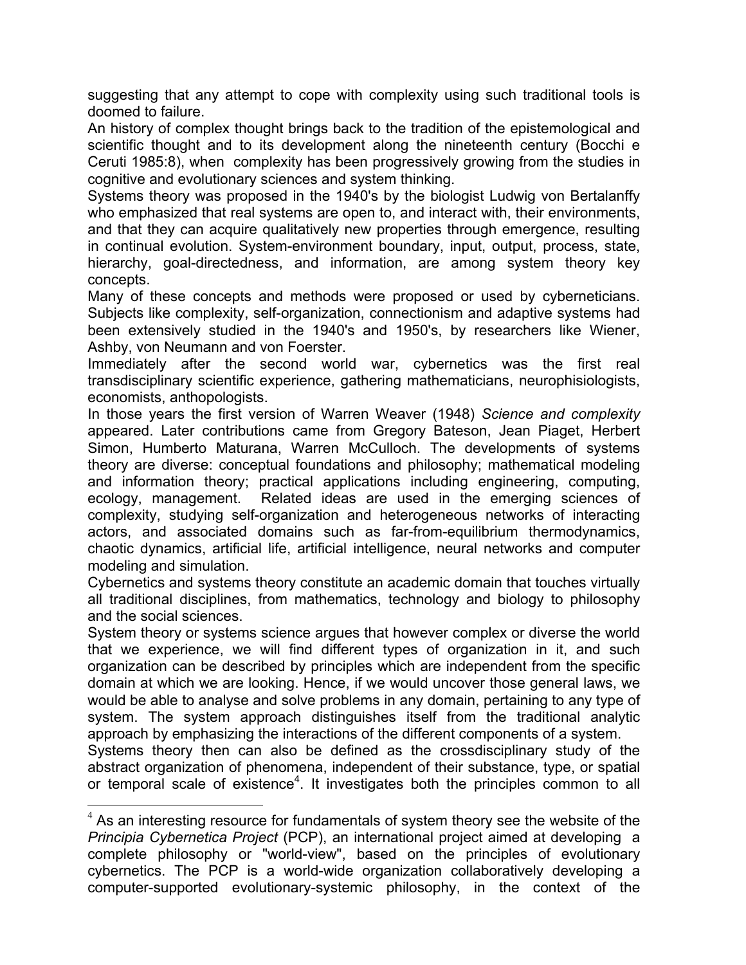suggesting that any attempt to cope with complexity using such traditional tools is doomed to failure.

An history of complex thought brings back to the tradition of the epistemological and scientific thought and to its development along the nineteenth century (Bocchi e Ceruti 1985:8), when complexity has been progressively growing from the studies in cognitive and evolutionary sciences and system thinking.

Systems theory was proposed in the 1940's by the biologist Ludwig von Bertalanffy who emphasized that real systems are open to, and interact with, their environments, and that they can acquire qualitatively new properties through emergence, resulting in continual evolution. System-environment boundary, input, output, process, state, hierarchy, goal-directedness, and information, are among system theory key concepts.

Many of these concepts and methods were proposed or used by cyberneticians. Subjects like complexity, self-organization, connectionism and adaptive systems had been extensively studied in the 1940's and 1950's, by researchers like Wiener, Ashby, von Neumann and von Foerster.

Immediately after the second world war, cybernetics was the first real transdisciplinary scientific experience, gathering mathematicians, neurophisiologists, economists, anthopologists.

In those years the first version of Warren Weaver (1948) *Science and complexity* appeared. Later contributions came from Gregory Bateson, Jean Piaget, Herbert Simon, Humberto Maturana, Warren McCulloch. The developments of systems theory are diverse: conceptual foundations and philosophy; mathematical modeling and information theory; practical applications including engineering, computing, ecology, management. Related ideas are used in the emerging sciences of complexity, studying self-organization and heterogeneous networks of interacting actors, and associated domains such as far-from-equilibrium thermodynamics, chaotic dynamics, artificial life, artificial intelligence, neural networks and computer modeling and simulation.

Cybernetics and systems theory constitute an academic domain that touches virtually all traditional disciplines, from mathematics, technology and biology to philosophy and the social sciences.

System theory or systems science argues that however complex or diverse the world that we experience, we will find different types of organization in it, and such organization can be described by principles which are independent from the specific domain at which we are looking. Hence, if we would uncover those general laws, we would be able to analyse and solve problems in any domain, pertaining to any type of system. The system approach distinguishes itself from the traditional analytic approach by emphasizing the interactions of the different components of a system.

Systems theory then can also be defined as the crossdisciplinary study of the abstract organization of phenomena, independent of their substance, type, or spatial or temporal scale of existence<sup>4</sup>. It investigates both the principles common to all

 $\overline{a}$ 

 $4$  As an interesting resource for fundamentals of system theory see the website of the *Principia Cybernetica Project* (PCP), an international project aimed at developing a complete philosophy or "world-view", based on the principles of evolutionary cybernetics. The PCP is a world-wide organization collaboratively developing a computer-supported evolutionary-systemic philosophy, in the context of the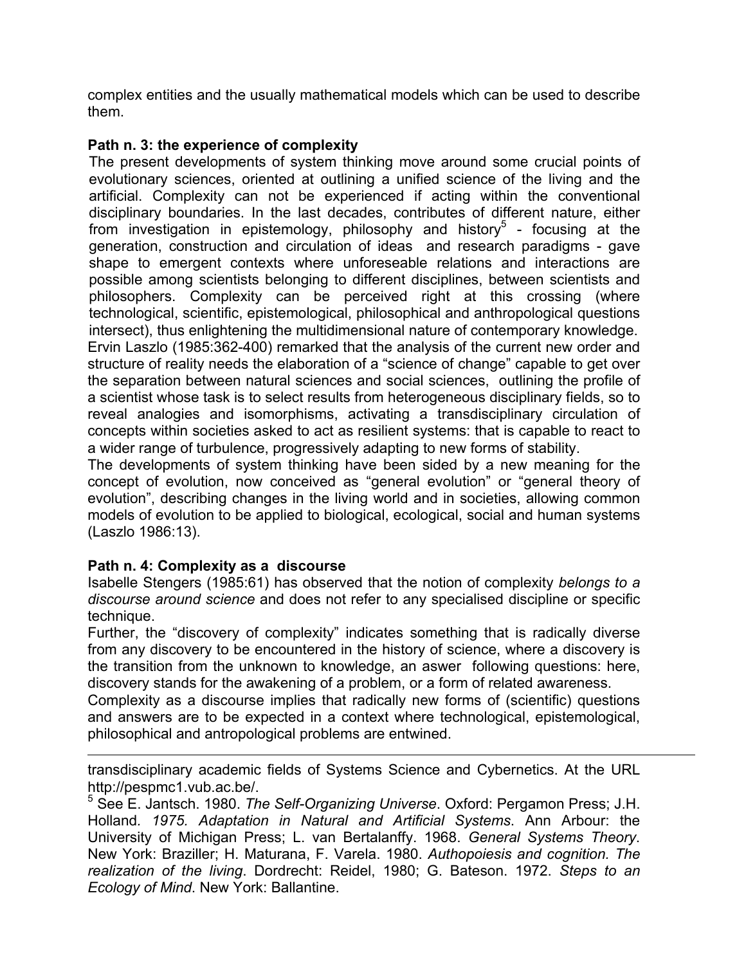complex entities and the usually mathematical models which can be used to describe them.

# **Path n. 3: the experience of complexity**

The present developments of system thinking move around some crucial points of evolutionary sciences, oriented at outlining a unified science of the living and the artificial. Complexity can not be experienced if acting within the conventional disciplinary boundaries. In the last decades, contributes of different nature, either from investigation in epistemology, philosophy and history<sup>5</sup> - focusing at the generation, construction and circulation of ideas and research paradigms - gave shape to emergent contexts where unforeseable relations and interactions are possible among scientists belonging to different disciplines, between scientists and philosophers. Complexity can be perceived right at this crossing (where technological, scientific, epistemological, philosophical and anthropological questions intersect), thus enlightening the multidimensional nature of contemporary knowledge.

Ervin Laszlo (1985:362-400) remarked that the analysis of the current new order and structure of reality needs the elaboration of a "science of change" capable to get over the separation between natural sciences and social sciences, outlining the profile of a scientist whose task is to select results from heterogeneous disciplinary fields, so to reveal analogies and isomorphisms, activating a transdisciplinary circulation of concepts within societies asked to act as resilient systems: that is capable to react to a wider range of turbulence, progressively adapting to new forms of stability.

The developments of system thinking have been sided by a new meaning for the concept of evolution, now conceived as "general evolution" or "general theory of evolution", describing changes in the living world and in societies, allowing common models of evolution to be applied to biological, ecological, social and human systems (Laszlo 1986:13).

# **Path n. 4: Complexity as a discourse**

Isabelle Stengers (1985:61) has observed that the notion of complexity *belongs to a discourse around science* and does not refer to any specialised discipline or specific technique.

Further, the "discovery of complexity" indicates something that is radically diverse from any discovery to be encountered in the history of science, where a discovery is the transition from the unknown to knowledge, an aswer following questions: here, discovery stands for the awakening of a problem, or a form of related awareness.

Complexity as a discourse implies that radically new forms of (scientific) questions and answers are to be expected in a context where technological, epistemological, philosophical and antropological problems are entwined.

 $\overline{a}$ transdisciplinary academic fields of Systems Science and Cybernetics. At the URL http://pespmc1.vub.ac.be/.

5 See E. Jantsch. 1980. *The Self-Organizing Universe*. Oxford: Pergamon Press; J.H. Holland*. 1975. Adaptation in Natural and Artificial Systems*. Ann Arbour: the University of Michigan Press; L. van Bertalanffy. 1968. *General Systems Theory*. New York: Braziller; H. Maturana, F. Varela. 1980. *Authopoiesis and cognition. The realization of the living*. Dordrecht: Reidel, 1980; G. Bateson. 1972. *Steps to an Ecology of Mind*. New York: Ballantine.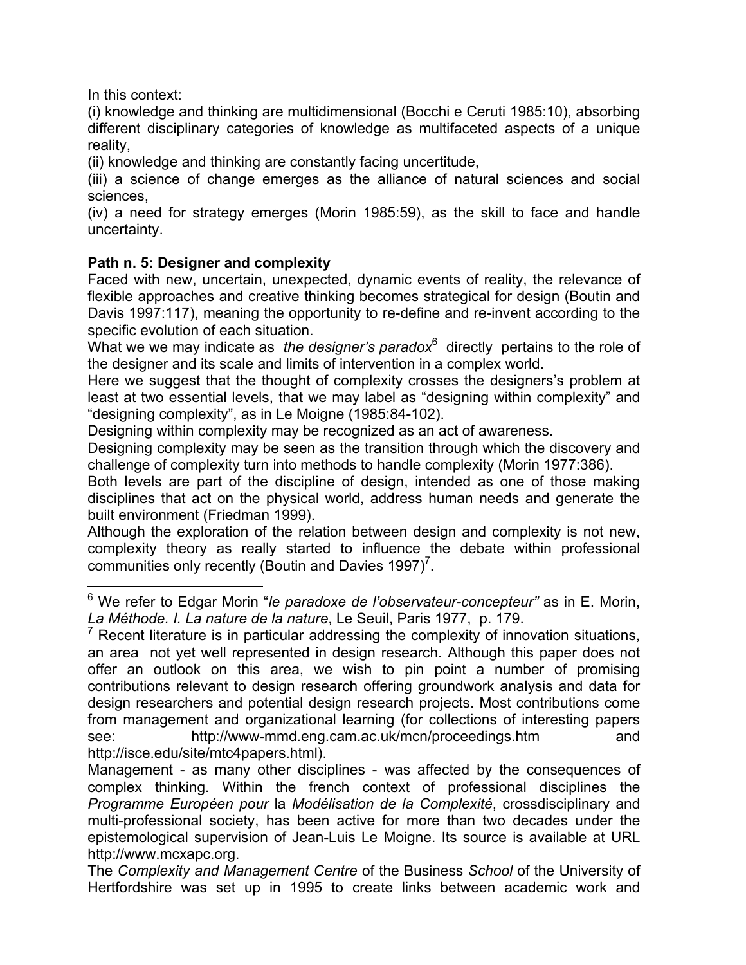In this context:

 $\overline{a}$ 

(i) knowledge and thinking are multidimensional (Bocchi e Ceruti 1985:10), absorbing different disciplinary categories of knowledge as multifaceted aspects of a unique reality,

(ii) knowledge and thinking are constantly facing uncertitude,

(iii) a science of change emerges as the alliance of natural sciences and social sciences,

(iv) a need for strategy emerges (Morin 1985:59), as the skill to face and handle uncertainty.

# **Path n. 5: Designer and complexity**

Faced with new, uncertain, unexpected, dynamic events of reality, the relevance of flexible approaches and creative thinking becomes strategical for design (Boutin and Davis 1997:117), meaning the opportunity to re-define and re-invent according to the specific evolution of each situation.

What we we may indicate as *the designer's paradox*<sup>6</sup> directly pertains to the role of the designer and its scale and limits of intervention in a complex world.

Here we suggest that the thought of complexity crosses the designers's problem at least at two essential levels, that we may label as "designing within complexity" and "designing complexity", as in Le Moigne (1985:84-102).

Designing within complexity may be recognized as an act of awareness.

Designing complexity may be seen as the transition through which the discovery and challenge of complexity turn into methods to handle complexity (Morin 1977:386).

Both levels are part of the discipline of design, intended as one of those making disciplines that act on the physical world, address human needs and generate the built environment (Friedman 1999).

Although the exploration of the relation between design and complexity is not new, complexity theory as really started to influence the debate within professional communities only recently (Boutin and Davies 1997)<sup>7</sup>.

<sup>&</sup>lt;sup>6</sup> We refer to Edgar Morin "*le paradoxe de l'observateur-concepteur"* as in E. Morin, *La Méthode. I. La nature de la nature*, Le Seuil, Paris 1977, p. 179.

 $7$  Recent literature is in particular addressing the complexity of innovation situations, an area not yet well represented in design research. Although this paper does not offer an outlook on this area, we wish to pin point a number of promising contributions relevant to design research offering groundwork analysis and data for design researchers and potential design research projects. Most contributions come from management and organizational learning (for collections of interesting papers see: http://www-mmd.eng.cam.ac.uk/mcn/proceedings.htm and http://isce.edu/site/mtc4papers.html).

Management - as many other disciplines - was affected by the consequences of complex thinking. Within the french context of professional disciplines the *Programme Européen pour* la *Modélisation de la Complexité*, crossdisciplinary and multi-professional society, has been active for more than two decades under the epistemological supervision of Jean-Luis Le Moigne. Its source is available at URL http://www.mcxapc.org.

The *Complexity and Management Centre* of the Business *School* of the University of Hertfordshire was set up in 1995 to create links between academic work and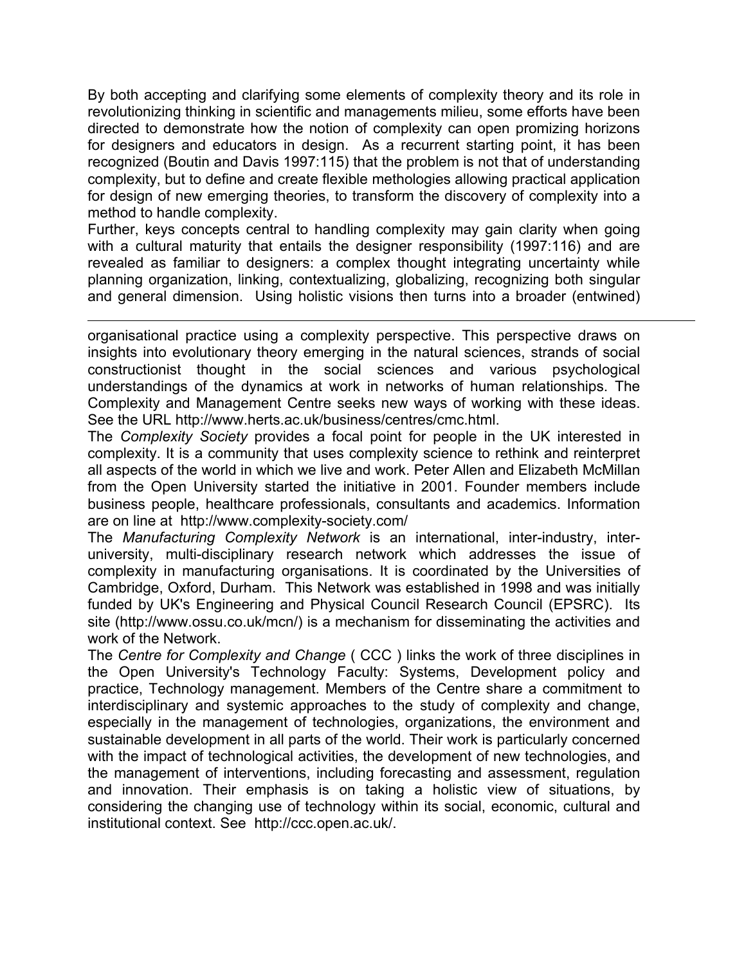By both accepting and clarifying some elements of complexity theory and its role in revolutionizing thinking in scientific and managements milieu, some efforts have been directed to demonstrate how the notion of complexity can open promizing horizons for designers and educators in design. As a recurrent starting point, it has been recognized (Boutin and Davis 1997:115) that the problem is not that of understanding complexity, but to define and create flexible methologies allowing practical application for design of new emerging theories, to transform the discovery of complexity into a method to handle complexity.

Further, keys concepts central to handling complexity may gain clarity when going with a cultural maturity that entails the designer responsibility (1997:116) and are revealed as familiar to designers: a complex thought integrating uncertainty while planning organization, linking, contextualizing, globalizing, recognizing both singular and general dimension. Using holistic visions then turns into a broader (entwined)

organisational practice using a complexity perspective. This perspective draws on insights into evolutionary theory emerging in the natural sciences, strands of social constructionist thought in the social sciences and various psychological understandings of the dynamics at work in networks of human relationships. The Complexity and Management Centre seeks new ways of working with these ideas. See the URL http://www.herts.ac.uk/business/centres/cmc.html.

 $\overline{a}$ 

The *Complexity Society* provides a focal point for people in the UK interested in complexity. It is a community that uses complexity science to rethink and reinterpret all aspects of the world in which we live and work. Peter Allen and Elizabeth McMillan from the Open University started the initiative in 2001. Founder members include business people, healthcare professionals, consultants and academics. Information are on line at http://www.complexity-society.com/

The *Manufacturing Complexity Network* is an international, inter-industry, interuniversity, multi-disciplinary research network which addresses the issue of complexity in manufacturing organisations. It is coordinated by the Universities of Cambridge, Oxford, Durham. This Network was established in 1998 and was initially funded by UK's Engineering and Physical Council Research Council (EPSRC). Its site (http://www.ossu.co.uk/mcn/) is a mechanism for disseminating the activities and work of the Network.

The *Centre for Complexity and Change* ( CCC ) links the work of three disciplines in the Open University's Technology Faculty: Systems, Development policy and practice, Technology management. Members of the Centre share a commitment to interdisciplinary and systemic approaches to the study of complexity and change, especially in the management of technologies, organizations, the environment and sustainable development in all parts of the world. Their work is particularly concerned with the impact of technological activities, the development of new technologies, and the management of interventions, including forecasting and assessment, regulation and innovation. Their emphasis is on taking a holistic view of situations, by considering the changing use of technology within its social, economic, cultural and institutional context. See http://ccc.open.ac.uk/.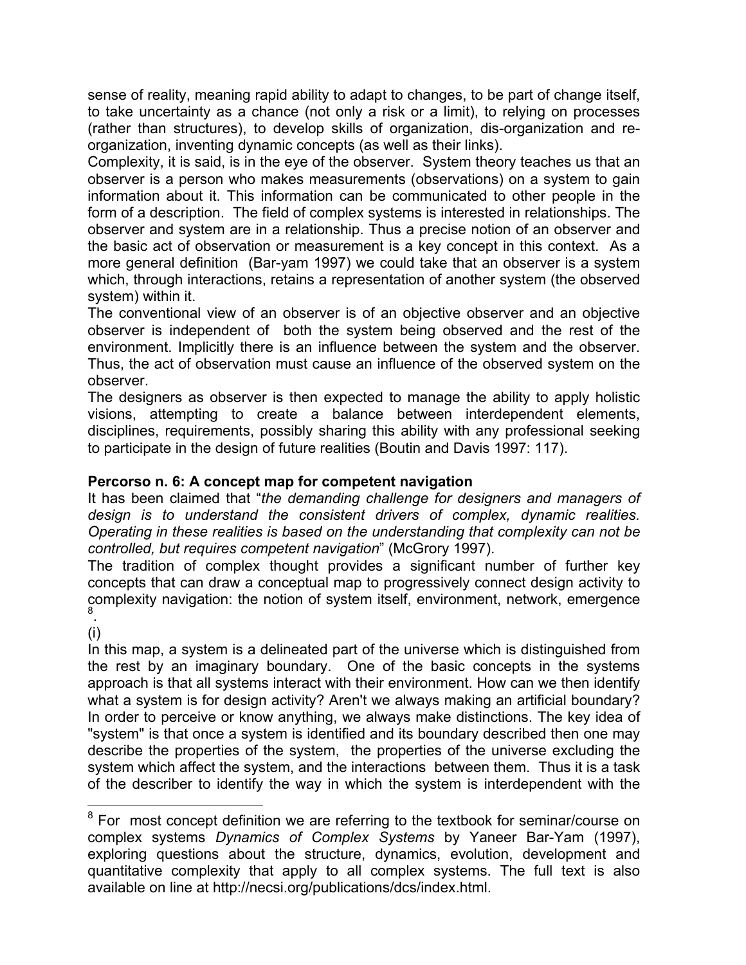sense of reality, meaning rapid ability to adapt to changes, to be part of change itself, to take uncertainty as a chance (not only a risk or a limit), to relying on processes (rather than structures), to develop skills of organization, dis-organization and reorganization, inventing dynamic concepts (as well as their links).

Complexity, it is said, is in the eye of the observer. System theory teaches us that an observer is a person who makes measurements (observations) on a system to gain information about it. This information can be communicated to other people in the form of a description. The field of complex systems is interested in relationships. The observer and system are in a relationship. Thus a precise notion of an observer and the basic act of observation or measurement is a key concept in this context. As a more general definition (Bar-yam 1997) we could take that an observer is a system which, through interactions, retains a representation of another system (the observed system) within it.

The conventional view of an observer is of an objective observer and an objective observer is independent of both the system being observed and the rest of the environment. Implicitly there is an influence between the system and the observer. Thus, the act of observation must cause an influence of the observed system on the observer.

The designers as observer is then expected to manage the ability to apply holistic visions, attempting to create a balance between interdependent elements, disciplines, requirements, possibly sharing this ability with any professional seeking to participate in the design of future realities (Boutin and Davis 1997: 117).

### **Percorso n. 6: A concept map for competent navigation**

It has been claimed that "*the demanding challenge for designers and managers of design is to understand the consistent drivers of complex, dynamic realities. Operating in these realities is based on the understanding that complexity can not be controlled, but requires competent navigation*" (McGrory 1997).

The tradition of complex thought provides a significant number of further key concepts that can draw a conceptual map to progressively connect design activity to complexity navigation: the notion of system itself, environment, network, emergence 8 .

(i)

In this map, a system is a delineated part of the universe which is distinguished from the rest by an imaginary boundary. One of the basic concepts in the systems approach is that all systems interact with their environment. How can we then identify what a system is for design activity? Aren't we always making an artificial boundary? In order to perceive or know anything, we always make distinctions. The key idea of "system" is that once a system is identified and its boundary described then one may describe the properties of the system, the properties of the universe excluding the system which affect the system, and the interactions between them. Thus it is a task of the describer to identify the way in which the system is interdependent with the

**EXECUTE:**<br><sup>8</sup> For most concept definition we are referring to the textbook for seminar/course on complex systems *Dynamics of Complex Systems* by Yaneer Bar-Yam (1997), exploring questions about the structure, dynamics, evolution, development and quantitative complexity that apply to all complex systems. The full text is also available on line at http://necsi.org/publications/dcs/index.html.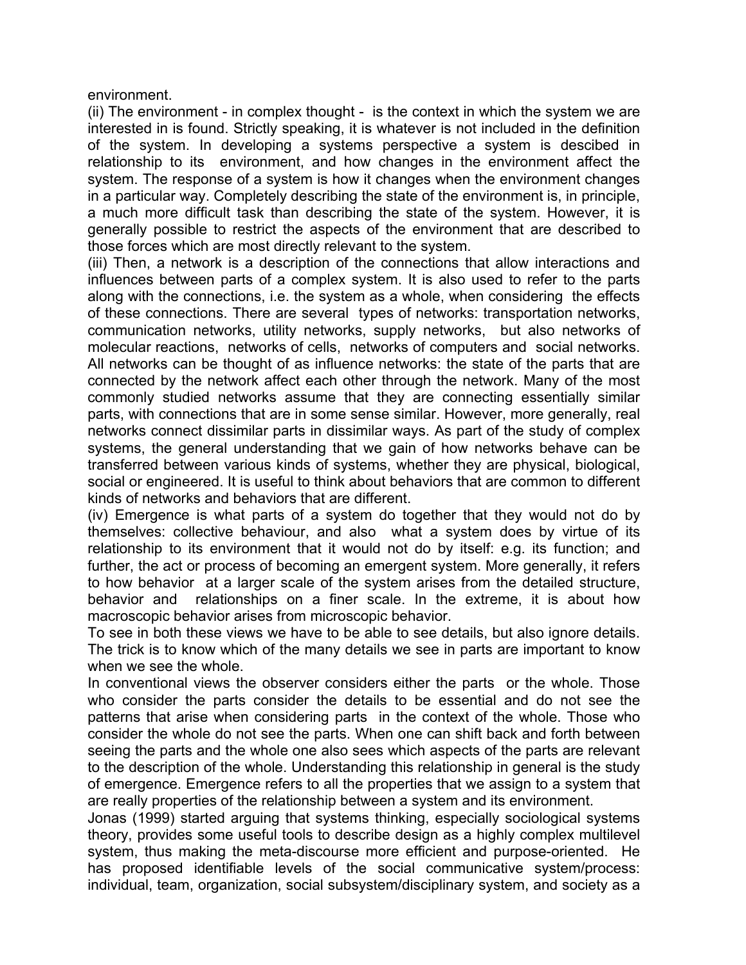environment.

(ii) The environment - in complex thought - is the context in which the system we are interested in is found. Strictly speaking, it is whatever is not included in the definition of the system. In developing a systems perspective a system is descibed in relationship to its environment, and how changes in the environment affect the system. The response of a system is how it changes when the environment changes in a particular way. Completely describing the state of the environment is, in principle, a much more difficult task than describing the state of the system. However, it is generally possible to restrict the aspects of the environment that are described to those forces which are most directly relevant to the system.

(iii) Then, a network is a description of the connections that allow interactions and influences between parts of a complex system. It is also used to refer to the parts along with the connections, i.e. the system as a whole, when considering the effects of these connections. There are several types of networks: transportation networks, communication networks, utility networks, supply networks, but also networks of molecular reactions, networks of cells, networks of computers and social networks. All networks can be thought of as influence networks: the state of the parts that are connected by the network affect each other through the network. Many of the most commonly studied networks assume that they are connecting essentially similar parts, with connections that are in some sense similar. However, more generally, real networks connect dissimilar parts in dissimilar ways. As part of the study of complex systems, the general understanding that we gain of how networks behave can be transferred between various kinds of systems, whether they are physical, biological, social or engineered. It is useful to think about behaviors that are common to different kinds of networks and behaviors that are different.

(iv) Emergence is what parts of a system do together that they would not do by themselves: collective behaviour, and also what a system does by virtue of its relationship to its environment that it would not do by itself: e.g. its function; and further, the act or process of becoming an emergent system. More generally, it refers to how behavior at a larger scale of the system arises from the detailed structure, behavior and relationships on a finer scale. In the extreme, it is about how macroscopic behavior arises from microscopic behavior.

To see in both these views we have to be able to see details, but also ignore details. The trick is to know which of the many details we see in parts are important to know when we see the whole.

In conventional views the observer considers either the parts or the whole. Those who consider the parts consider the details to be essential and do not see the patterns that arise when considering parts in the context of the whole. Those who consider the whole do not see the parts. When one can shift back and forth between seeing the parts and the whole one also sees which aspects of the parts are relevant to the description of the whole. Understanding this relationship in general is the study of emergence. Emergence refers to all the properties that we assign to a system that are really properties of the relationship between a system and its environment.

Jonas (1999) started arguing that systems thinking, especially sociological systems theory, provides some useful tools to describe design as a highly complex multilevel system, thus making the meta-discourse more efficient and purpose-oriented.He has proposed identifiable levels of the social communicative system/process: individual, team, organization, social subsystem/disciplinary system, and society as a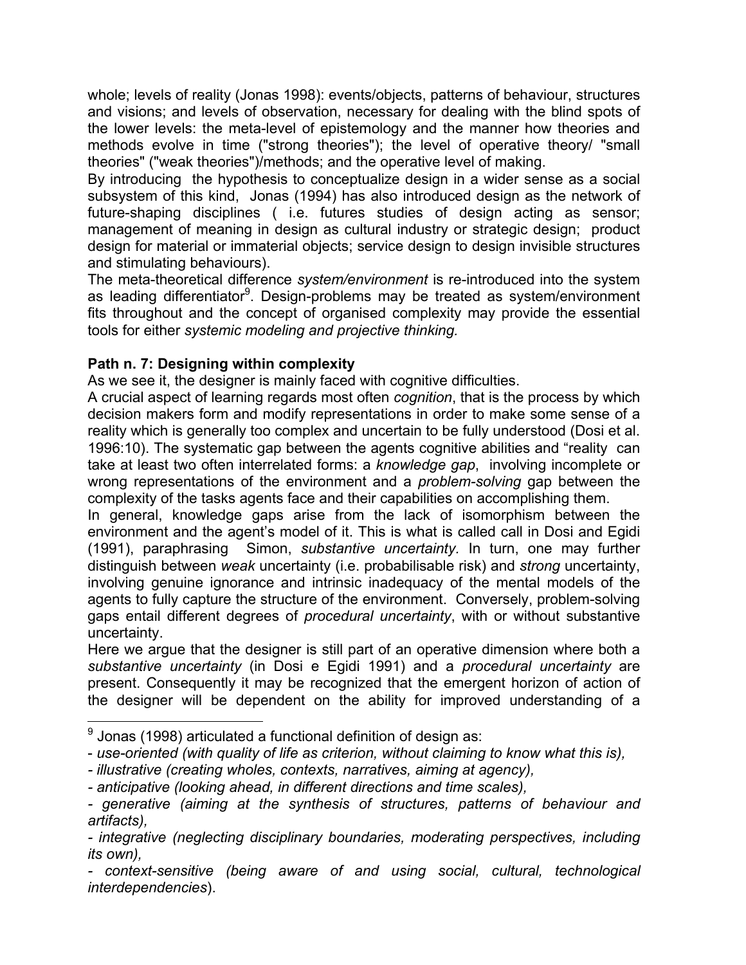whole; levels of reality (Jonas 1998): events/objects, patterns of behaviour, structures and visions; and levels of observation, necessary for dealing with the blind spots of the lower levels: the meta-level of epistemology and the manner how theories and methods evolve in time ("strong theories"); the level of operative theory/ "small theories" ("weak theories")/methods; and the operative level of making.

By introducing the hypothesis to conceptualize design in a wider sense as a social subsystem of this kind, Jonas (1994) has also introduced design as the network of future-shaping disciplines ( i.e. futures studies of design acting as sensor; management of meaning in design as cultural industry or strategic design; product design for material or immaterial objects; service design to design invisible structures and stimulating behaviours).

The meta-theoretical difference *system/environment* is re-introduced into the system as leading differentiator<sup>9</sup>. Design-problems may be treated as system/environment fits throughout and the concept of organised complexity may provide the essential tools for either *systemic modeling and projective thinking.*

### **Path n. 7: Designing within complexity**

As we see it, the designer is mainly faced with cognitive difficulties.

A crucial aspect of learning regards most often *cognition*, that is the process by which decision makers form and modify representations in order to make some sense of a reality which is generally too complex and uncertain to be fully understood (Dosi et al. 1996:10). The systematic gap between the agents cognitive abilities and "reality can take at least two often interrelated forms: a *knowledge gap*, involving incomplete or wrong representations of the environment and a *problem-solving* gap between the complexity of the tasks agents face and their capabilities on accomplishing them.

In general, knowledge gaps arise from the lack of isomorphism between the environment and the agent's model of it. This is what is called call in Dosi and Egidi (1991), paraphrasing Simon, *substantive uncertainty.* In turn, one may further distinguish between *weak* uncertainty (i.e. probabilisable risk) and *strong* uncertainty, involving genuine ignorance and intrinsic inadequacy of the mental models of the agents to fully capture the structure of the environment. Conversely, problem-solving gaps entail different degrees of *procedural uncertainty*, with or without substantive uncertainty.

Here we argue that the designer is still part of an operative dimension where both a *substantive uncertainty* (in Dosi e Egidi 1991) and a *procedural uncertainty* are present. Consequently it may be recognized that the emergent horizon of action of the designer will be dependent on the ability for improved understanding of a

- \_\_\_\_\_\_\_\_\_\_\_\_\_\_\_\_\_\_\_\_\_\_\_\_\_\_\_\_\_\_\_\_\_\_\_<br><sup>9</sup> Jonas (1998) articulated a functional definition of design as:
- *use-oriented (with quality of life as criterion, without claiming to know what this is),*
- *illustrative (creating wholes, contexts, narratives, aiming at agency),*
- *anticipative (looking ahead, in different directions and time scales),*
- *generative (aiming at the synthesis of structures, patterns of behaviour and artifacts),*

*<sup>-</sup> integrative (neglecting disciplinary boundaries, moderating perspectives, including its own),* 

*<sup>-</sup> context-sensitive (being aware of and using social, cultural, technological interdependencies*).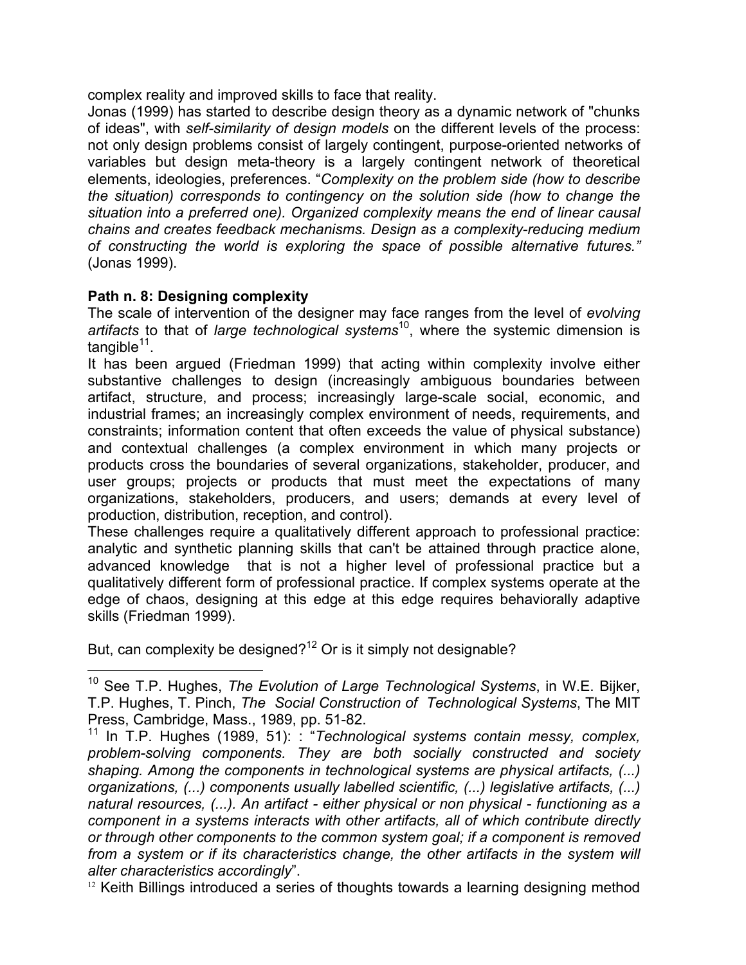complex reality and improved skills to face that reality.

Jonas (1999) has started to describe design theory as a dynamic network of "chunks of ideas", with *self-similarity of design models* on the different levels of the process: not only design problems consist of largely contingent, purpose-oriented networks of variables but design meta-theory is a largely contingent network of theoretical elements, ideologies, preferences. "*Complexity on the problem side (how to describe the situation) corresponds to contingency on the solution side (how to change the situation into a preferred one). Organized complexity means the end of linear causal chains and creates feedback mechanisms. Design as a complexity-reducing medium of constructing the world is exploring the space of possible alternative futures."* (Jonas 1999).

# **Path n. 8: Designing complexity**

1

The scale of intervention of the designer may face ranges from the level of *evolving artifacts* to that of *large technological systems*10, where the systemic dimension is tangible $11$ .

It has been argued (Friedman 1999) that acting within complexity involve either substantive challenges to design (increasingly ambiguous boundaries between artifact, structure, and process; increasingly large-scale social, economic, and industrial frames; an increasingly complex environment of needs, requirements, and constraints; information content that often exceeds the value of physical substance) and contextual challenges (a complex environment in which many projects or products cross the boundaries of several organizations, stakeholder, producer, and user groups; projects or products that must meet the expectations of many organizations, stakeholders, producers, and users; demands at every level of production, distribution, reception, and control).

These challenges require a qualitatively different approach to professional practice: analytic and synthetic planning skills that can't be attained through practice alone, advanced knowledge that is not a higher level of professional practice but a qualitatively different form of professional practice. If complex systems operate at the edge of chaos, designing at this edge at this edge requires behaviorally adaptive skills (Friedman 1999).

But, can complexity be designed?<sup>12</sup> Or is it simply not designable?

 $12$  Keith Billings introduced a series of thoughts towards a learning designing method

<sup>10</sup> See T.P. Hughes, *The Evolution of Large Technological Systems*, in W.E. Bijker, T.P. Hughes, T. Pinch, *The Social Construction of Technological Systems*, The MIT Press, Cambridge, Mass., 1989, pp. 51-82.

<sup>&</sup>lt;sup>11</sup> In T.P. Hughes (1989, 51): : "*Technological systems contain messy, complex, problem-solving components. They are both socially constructed and society shaping. Among the components in technological systems are physical artifacts, (...) organizations, (...) components usually labelled scientific, (...) legislative artifacts, (...) natural resources, (...). An artifact - either physical or non physical - functioning as a component in a systems interacts with other artifacts, all of which contribute directly or through other components to the common system goal; if a component is removed*  from a system or if its characteristics change, the other artifacts in the system will *alter characteristics accordingly*".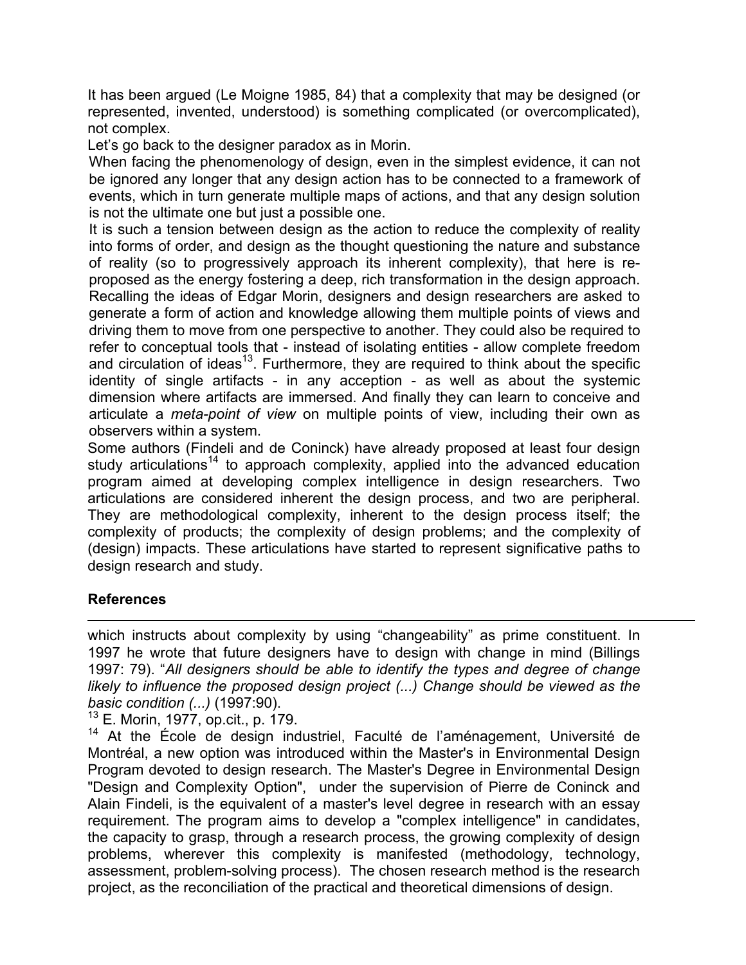It has been argued (Le Moigne 1985, 84) that a complexity that may be designed (or represented, invented, understood) is something complicated (or overcomplicated), not complex.

Let's go back to the designer paradox as in Morin.

When facing the phenomenology of design, even in the simplest evidence, it can not be ignored any longer that any design action has to be connected to a framework of events, which in turn generate multiple maps of actions, and that any design solution is not the ultimate one but just a possible one.

It is such a tension between design as the action to reduce the complexity of reality into forms of order, and design as the thought questioning the nature and substance of reality (so to progressively approach its inherent complexity), that here is reproposed as the energy fostering a deep, rich transformation in the design approach. Recalling the ideas of Edgar Morin, designers and design researchers are asked to generate a form of action and knowledge allowing them multiple points of views and driving them to move from one perspective to another. They could also be required to refer to conceptual tools that - instead of isolating entities - allow complete freedom and circulation of ideas<sup>13</sup>. Furthermore, they are required to think about the specific identity of single artifacts - in any acception - as well as about the systemic dimension where artifacts are immersed. And finally they can learn to conceive and articulate a *meta-point of view* on multiple points of view, including their own as observers within a system.

Some authors (Findeli and de Coninck) have already proposed at least four design study articulations<sup>14</sup> to approach complexity, applied into the advanced education program aimed at developing complex intelligence in design researchers. Two articulations are considered inherent the design process, and two are peripheral. They are methodological complexity, inherent to the design process itself; the complexity of products; the complexity of design problems; and the complexity of (design) impacts. These articulations have started to represent significative paths to design research and study.

# **References**

1

which instructs about complexity by using "changeability" as prime constituent. In 1997 he wrote that future designers have to design with change in mind (Billings 1997: 79). "*All designers should be able to identify the types and degree of change likely to influence the proposed design project (...) Change should be viewed as the basic condition (...)* (1997:90).

<sup>13</sup> E. Morin, 1977, op.cit., p. 179.

14 At the École de design industriel, Faculté de l'aménagement, Université de Montréal, a new option was introduced within the Master's in Environmental Design Program devoted to design research. The Master's Degree in Environmental Design "Design and Complexity Option", under the supervision of Pierre de Coninck and Alain Findeli, is the equivalent of a master's level degree in research with an essay requirement. The program aims to develop a "complex intelligence" in candidates, the capacity to grasp, through a research process, the growing complexity of design problems, wherever this complexity is manifested (methodology, technology, assessment, problem-solving process). The chosen research method is the research project, as the reconciliation of the practical and theoretical dimensions of design.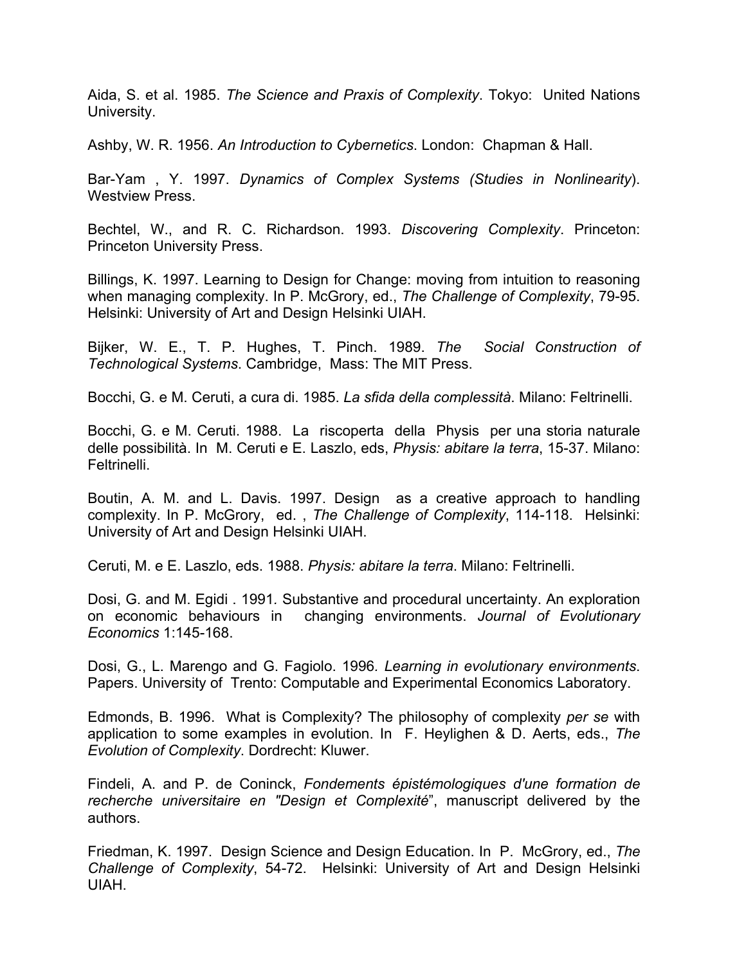Aida, S. et al. 1985. *The Science and Praxis of Complexity*. Tokyo: United Nations University.

Ashby, W. R. 1956. *An Introduction to Cybernetics*. London: Chapman & Hall.

Bar-Yam , Y. 1997. *Dynamics of Complex Systems (Studies in Nonlinearity*). Westview Press.

Bechtel, W., and R. C. Richardson. 1993. *Discovering Complexity*. Princeton: Princeton University Press.

Billings, K. 1997. Learning to Design for Change: moving from intuition to reasoning when managing complexity. In P. McGrory, ed., *The Challenge of Complexity*, 79-95. Helsinki: University of Art and Design Helsinki UIAH.

Bijker, W. E., T. P. Hughes, T. Pinch. 1989. *The Social Construction of Technological Systems*. Cambridge, Mass: The MIT Press.

Bocchi, G. e M. Ceruti, a cura di. 1985. *La sfida della complessità*. Milano: Feltrinelli.

Bocchi, G. e M. Ceruti. 1988. La riscoperta della Physis per una storia naturale delle possibilità. In M. Ceruti e E. Laszlo, eds, *Physis: abitare la terra*, 15-37. Milano: Feltrinelli.

Boutin, A. M. and L. Davis. 1997. Design as a creative approach to handling complexity. In P. McGrory, ed. , *The Challenge of Complexity*, 114-118. Helsinki: University of Art and Design Helsinki UIAH.

Ceruti, M. e E. Laszlo, eds. 1988. *Physis: abitare la terra*. Milano: Feltrinelli.

Dosi, G. and M. Egidi . 1991*.* Substantive and procedural uncertainty. An exploration on economic behaviours in changing environments. *Journal of Evolutionary Economics* 1:145-168.

Dosi, G., L. Marengo and G. Fagiolo. 1996*. Learning in evolutionary environments*. Papers. University of Trento: Computable and Experimental Economics Laboratory.

Edmonds, B. 1996. What is Complexity? The philosophy of complexity *per se* with application to some examples in evolution. In F. Heylighen & D. Aerts, eds., *The Evolution of Complexity*. Dordrecht: Kluwer.

Findeli, A. and P. de Coninck, *Fondements épistémologiques d'une formation de recherche universitaire en "Design et Complexité*", manuscript delivered by the authors.

Friedman, K. 1997. Design Science and Design Education. In P. McGrory, ed., *The Challenge of Complexity*, 54-72. Helsinki: University of Art and Design Helsinki UIAH.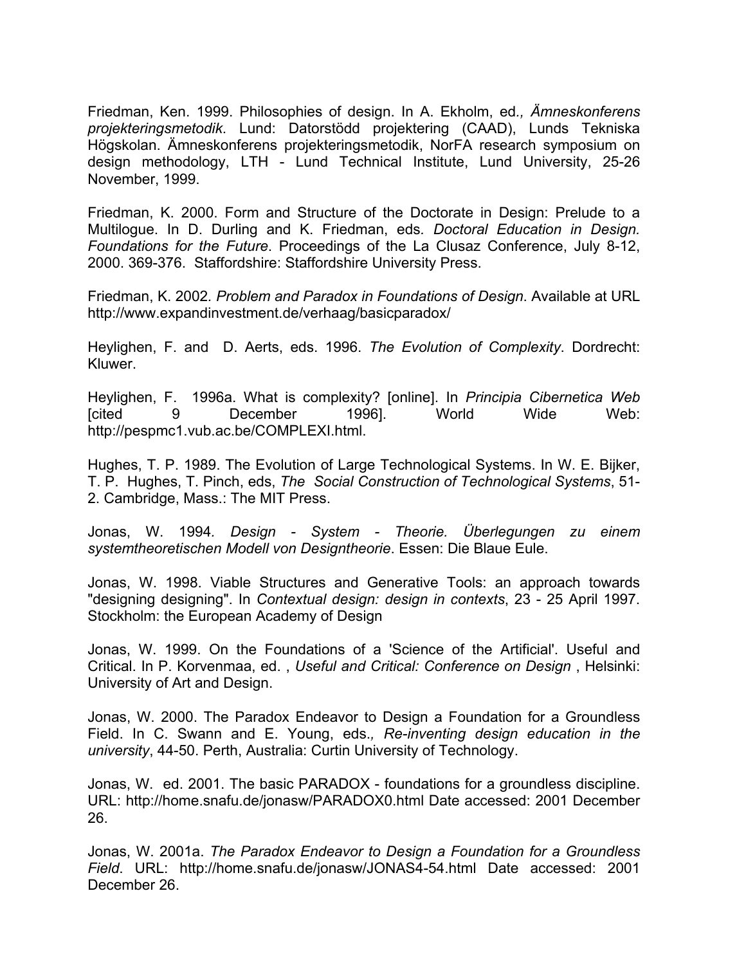Friedman, Ken. 1999. Philosophies of design. In A. Ekholm, ed*., Ämneskonferens projekteringsmetodik*. Lund: Datorstödd projektering (CAAD), Lunds Tekniska Högskolan. Ämneskonferens projekteringsmetodik, NorFA research symposium on design methodology, LTH - Lund Technical Institute, Lund University, 25-26 November, 1999.

Friedman, K. 2000. Form and Structure of the Doctorate in Design: Prelude to a Multilogue. In D. Durling and K. Friedman, eds*. Doctoral Education in Design. Foundations for the Future*. Proceedings of the La Clusaz Conference, July 8-12, 2000. 369-376. Staffordshire: Staffordshire University Press.

Friedman, K. 2002*. Problem and Paradox in Foundations of Design*. Available at URL http://www.expandinvestment.de/verhaag/basicparadox/

Heylighen, F. and D. Aerts, eds. 1996. *The Evolution of Complexity*. Dordrecht: Kluwer.

Heylighen, F. 1996a. What is complexity? [online]. In *Principia Cibernetica Web* [cited 9 December 1996]. World Wide Web: http://pespmc1.vub.ac.be/COMPLEXI.html.

Hughes, T. P. 1989. The Evolution of Large Technological Systems. In W. E. Bijker, T. P. Hughes, T. Pinch, eds, *The Social Construction of Technological Systems*, 51- 2. Cambridge, Mass.: The MIT Press.

Jonas, W. 1994*. Design - System - Theorie. Überlegungen zu einem systemtheoretischen Modell von Designtheorie*. Essen: Die Blaue Eule.

Jonas, W. 1998. Viable Structures and Generative Tools: an approach towards "designing designing". In *Contextual design: design in contexts*, 23 - 25 April 1997. Stockholm: the European Academy of Design

Jonas, W. 1999. On the Foundations of a 'Science of the Artificial'. Useful and Critical. In P. Korvenmaa, ed. , *Useful and Critical: Conference on Design* , Helsinki: University of Art and Design.

Jonas, W. 2000. The Paradox Endeavor to Design a Foundation for a Groundless Field. In C. Swann and E. Young, eds.*, Re-inventing design education in the university*, 44-50. Perth, Australia: Curtin University of Technology.

Jonas, W. ed. 2001. The basic PARADOX - foundations for a groundless discipline. URL: http://home.snafu.de/jonasw/PARADOX0.html Date accessed: 2001 December 26.

Jonas, W. 2001a. *The Paradox Endeavor to Design a Foundation for a Groundless Field*. URL: http://home.snafu.de/jonasw/JONAS4-54.html Date accessed: 2001 December 26.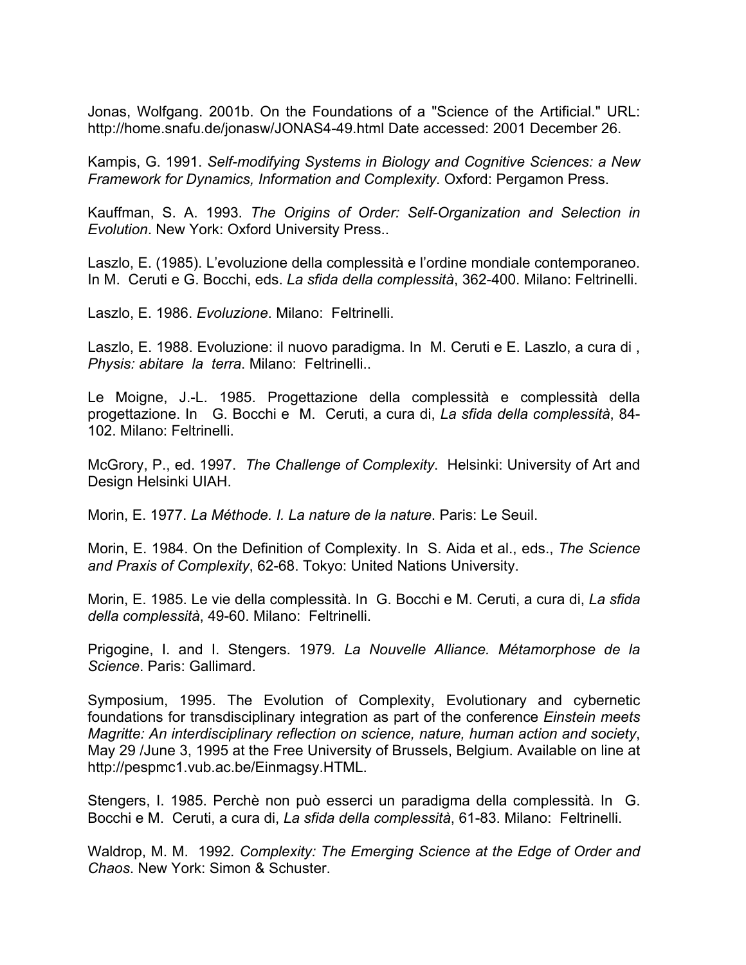Jonas, Wolfgang. 2001b. On the Foundations of a "Science of the Artificial." URL: http://home.snafu.de/jonasw/JONAS4-49.html Date accessed: 2001 December 26.

Kampis, G. 1991. *Self-modifying Systems in Biology and Cognitive Sciences: a New Framework for Dynamics, Information and Complexity*. Oxford: Pergamon Press.

Kauffman, S. A. 1993. *The Origins of Order: Self-Organization and Selection in Evolution*. New York: Oxford University Press..

Laszlo, E. (1985). L'evoluzione della complessità e l'ordine mondiale contemporaneo. In M. Ceruti e G. Bocchi, eds. *La sfida della complessità*, 362-400. Milano: Feltrinelli.

Laszlo, E. 1986. *Evoluzione*. Milano: Feltrinelli.

Laszlo, E. 1988. Evoluzione: il nuovo paradigma. In M. Ceruti e E. Laszlo, a cura di , *Physis: abitare la terra*. Milano: Feltrinelli..

Le Moigne, J.-L. 1985. Progettazione della complessità e complessità della progettazione. In G. Bocchi e M. Ceruti, a cura di, *La sfida della complessità*, 84- 102. Milano: Feltrinelli.

McGrory, P., ed. 1997. *The Challenge of Complexity*. Helsinki: University of Art and Design Helsinki UIAH.

Morin, E. 1977. *La Méthode. I. La nature de la nature*. Paris: Le Seuil.

Morin, E. 1984. On the Definition of Complexity. In S. Aida et al., eds., *The Science and Praxis of Complexity*, 62-68. Tokyo: United Nations University.

Morin, E. 1985. Le vie della complessità. In G. Bocchi e M. Ceruti, a cura di, *La sfida della complessità*, 49-60. Milano: Feltrinelli.

Prigogine, I. and I. Stengers. 1979*. La Nouvelle Alliance. Métamorphose de la Science*. Paris: Gallimard.

Symposium, 1995. The Evolution of Complexity, Evolutionary and cybernetic foundations for transdisciplinary integration as part of the conference *Einstein meets Magritte: An interdisciplinary reflection on science, nature, human action and society*, May 29 /June 3, 1995 at the Free University of Brussels, Belgium. Available on line at http://pespmc1.vub.ac.be/Einmagsy.HTML.

Stengers, I. 1985. Perchè non può esserci un paradigma della complessità. In G. Bocchi e M. Ceruti, a cura di, *La sfida della complessità*, 61-83. Milano: Feltrinelli.

Waldrop, M. M. 1992*. Complexity: The Emerging Science at the Edge of Order and Chaos*. New York: Simon & Schuster.